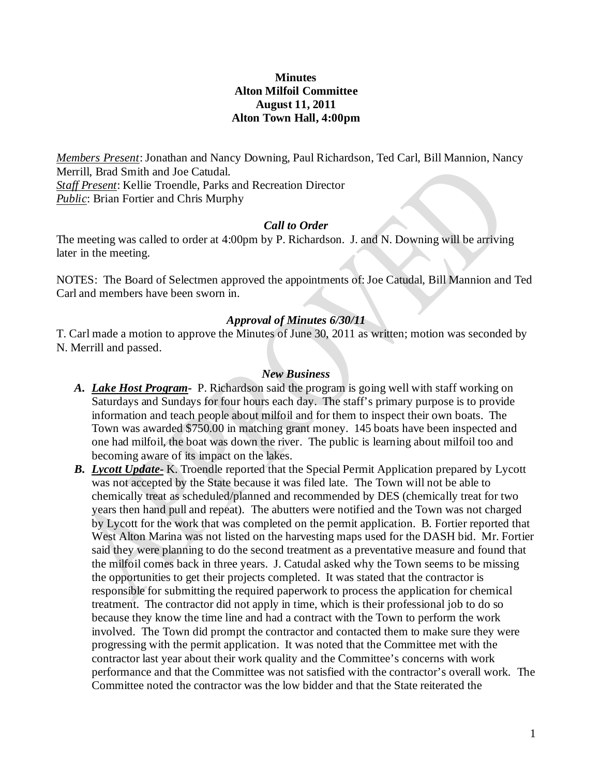## **Minutes Alton Milfoil Committee August 11, 2011 Alton Town Hall, 4:00pm**

*Members Present*: Jonathan and Nancy Downing, Paul Richardson, Ted Carl, Bill Mannion, Nancy Merrill, Brad Smith and Joe Catudal. *Staff Present*: Kellie Troendle, Parks and Recreation Director *Public*: Brian Fortier and Chris Murphy

#### *Call to Order*

The meeting was called to order at 4:00pm by P. Richardson. J. and N. Downing will be arriving later in the meeting.

NOTES: The Board of Selectmen approved the appointments of: Joe Catudal, Bill Mannion and Ted Carl and members have been sworn in.

## *Approval of Minutes 6/30/11*

T. Carl made a motion to approve the Minutes of June 30, 2011 as written; motion was seconded by N. Merrill and passed.

#### *New Business*

- *A. Lake Host Program-* P. Richardson said the program is going well with staff working on Saturdays and Sundays for four hours each day. The staff's primary purpose is to provide information and teach people about milfoil and for them to inspect their own boats. The Town was awarded \$750.00 in matching grant money. 145 boats have been inspected and one had milfoil, the boat was down the river. The public is learning about milfoil too and becoming aware of its impact on the lakes.
- *B. Lycott Update-* K. Troendle reported that the Special Permit Application prepared by Lycott was not accepted by the State because it was filed late. The Town will not be able to chemically treat as scheduled/planned and recommended by DES (chemically treat for two years then hand pull and repeat). The abutters were notified and the Town was not charged by Lycott for the work that was completed on the permit application. B. Fortier reported that West Alton Marina was not listed on the harvesting maps used for the DASH bid. Mr. Fortier said they were planning to do the second treatment as a preventative measure and found that the milfoil comes back in three years. J. Catudal asked why the Town seems to be missing the opportunities to get their projects completed. It was stated that the contractor is responsible for submitting the required paperwork to process the application for chemical treatment. The contractor did not apply in time, which is their professional job to do so because they know the time line and had a contract with the Town to perform the work involved. The Town did prompt the contractor and contacted them to make sure they were progressing with the permit application. It was noted that the Committee met with the contractor last year about their work quality and the Committee's concerns with work performance and that the Committee was not satisfied with the contractor's overall work. The Committee noted the contractor was the low bidder and that the State reiterated the